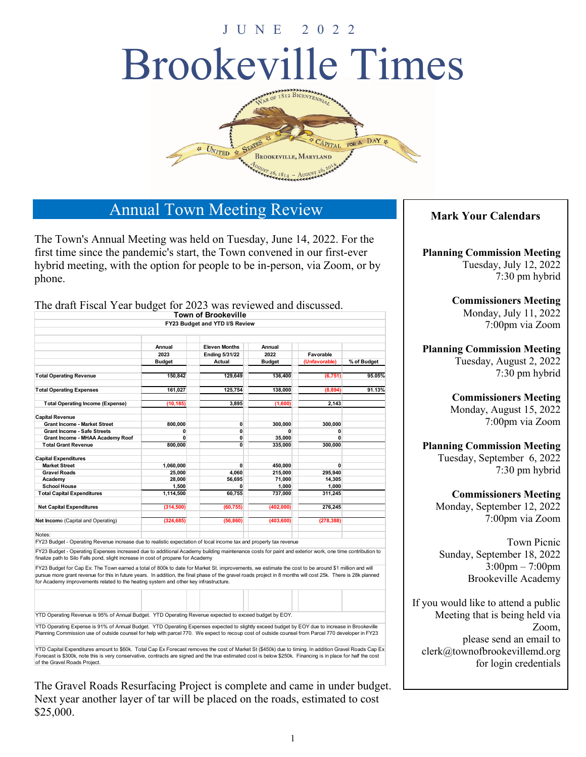# Brookeville Times JUNE 2022



#### Annual Town Meeting Review

The Town's Annual Meeting was held on Tuesday, June 14, 2022. For the first time since the pandemic's start, the Town convened in our first-ever hybrid meeting, with the option for people to be in-person, via Zoom, or by phone.

The draft Fiscal Year budget for 2023 was reviewed and discussed. **Town of Brookeville**

| FY23 Budget and YTD I/S Review          |                |                                               |                |               |             |  |
|-----------------------------------------|----------------|-----------------------------------------------|----------------|---------------|-------------|--|
|                                         | Annual<br>2023 | <b>Eleven Months</b><br><b>Ending 5/31/22</b> | Annual<br>2022 | Favorable     |             |  |
|                                         | <b>Budget</b>  | Actual                                        | <b>Budget</b>  | (Unfavorable) | % of Budget |  |
| <b>Total Operating Revenue</b>          | 150.842        | 129,649                                       | 136,400        | (6, 751)      | 95.05%      |  |
| <b>Total Operating Expenses</b>         | 161,027        | 125.754                                       | 138.000        | (8,894)       | 91.13%      |  |
| <b>Total Operating Income (Expense)</b> | (10, 185)      | 3,895                                         | (1,600)        | 2,143         |             |  |
| <b>Capital Revenue</b>                  |                |                                               |                |               |             |  |
| <b>Grant Income - Market Street</b>     | 800.000        | $\mathbf{0}$                                  | 300,000        | 300.000       |             |  |
| <b>Grant Income - Safe Streets</b>      | 0              | 0                                             | 0              | 0             |             |  |
| Grant Income - MHAA Academy Roof        | O              | 0                                             | 35.000         | O             |             |  |
| <b>Total Grant Revenue</b>              | 800,000        | $\mathbf{0}$                                  | 335,000        | 300,000       |             |  |
| <b>Capital Expenditures</b>             |                |                                               |                |               |             |  |
| <b>Market Street</b>                    | 1,060,000      | $\mathbf{0}$                                  | 450.000        | 0             |             |  |
| <b>Gravel Roads</b>                     | 25.000         | 4.060                                         | 215.000        | 295.940       |             |  |
| Academy                                 | 28,000         | 56,695                                        | 71,000         | 14,305        |             |  |
| <b>School House</b>                     | 1,500          | O                                             | 1,000          | 1,000         |             |  |
| <b>Total Capital Expenditures</b>       | 1.114.500      | 60.755                                        | 737.000        | 311.245       |             |  |
| <b>Net Capital Expenditures</b>         | (314, 500)     | (60, 755)                                     | (402,000)      | 276,245       |             |  |
| Net Income (Capital and Operating)      | (324, 685)     | (56, 860)                                     | (403, 600)     | (278, 388)    |             |  |
| Notes:                                  |                |                                               |                |               |             |  |

FY23 Budget - Operating Revenue increase due to realistic expectation of local income tax and property tax revenue

FY23 Budget - Operating Expenses increased due to additional Academy building maintenance costs for paint and exterior work, one time contribution to finalize path to Silo Falls pond, slight increase in cost of propane for Academy

FY23 Budget for Cap Ex: The Town earned a total of 800k to date for Market St. improvements, we estimate the cost to be around \$1 million and will pursue more grant revenue for this in future years. In addition, the final phase of the gravel roads project in 8 months will cost 25k. There is 28k planned for Academy improvements related to the heating system and other key infrastructure.

YTD Operating Revenue is 95% of Annual Budget. YTD Operating Revenue expected to exceed budget by EOY.

YTD Operating Expense is 91% of Annual Budget. YTD Operating Expenses expected to slightly exceed budget by EOY due to increase in Brookeville Planning Commission use of outside counsel for help with parcel 770. We expect to recoup cost of outside counsel from Parcel 770 developer in FY23

YTD Capital Expenditures amount to \$60k. Total Cap Ex Forecast removes the cost of Market St (\$450k) due to timing. In addition Gravel Roads Cap Ex Forecast is \$300k, note this is very conservative, contracts are signed and the true estimated cost is below \$250k. Financing is in place for half the cost of the Gravel Roads Project.

The Gravel Roads Resurfacing Project is complete and came in under budget. Next year another layer of tar will be placed on the roads, estimated to cost \$25,000.

#### **Mark Your Calendars**

**Planning Commission Meeting** Tuesday, July 12, 2022 7:30 pm hybrid

> **Commissioners Meeting** Monday, July 11, 2022 7:00pm via Zoom

**Planning Commission Meeting** Tuesday, August 2, 2022

7:30 pm hybrid

**Commissioners Meeting** Monday, August 15, 2022 7:00pm via Zoom

**Planning Commission Meeting**

Tuesday, September 6, 2022 7:30 pm hybrid

**Commissioners Meeting**

Monday, September 12, 2022 7:00pm via Zoom

Town Picnic Sunday, September 18, 2022 3:00pm – 7:00pm Brookeville Academy

If you would like to attend a public Meeting that is being held via Zoom, please send an email to clerk@townofbrookevillemd.org for login credentials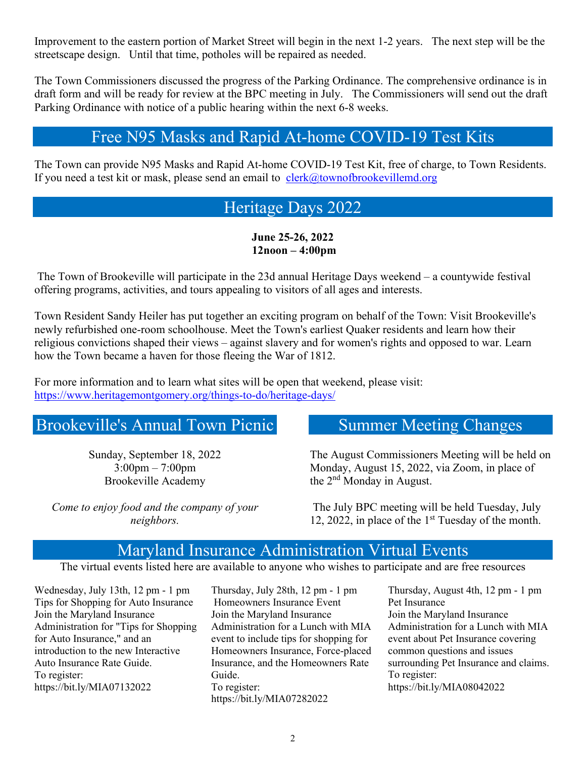Improvement to the eastern portion of Market Street will begin in the next 1-2 years. The next step will be the streetscape design. Until that time, potholes will be repaired as needed.

The Town Commissioners discussed the progress of the Parking Ordinance. The comprehensive ordinance is in draft form and will be ready for review at the BPC meeting in July. The Commissioners will send out the draft Parking Ordinance with notice of a public hearing within the next 6-8 weeks.

# Free N95 Masks and Rapid At-home COVID-19 Test Kits

The Town can provide N95 Masks and Rapid At-home COVID-19 Test Kit, free of charge, to Town Residents. If you need a test kit or mask, please send an email to  $\text{clerk}(\omega)$  townofbrookevillemd.org

## Heritage Days 2022

**June 25-26, 2022 12noon – 4:00pm** 

The Town of Brookeville will participate in the 23d annual Heritage Days weekend – a countywide festival offering programs, activities, and tours appealing to visitors of all ages and interests.

Town Resident Sandy Heiler has put together an exciting program on behalf of the Town: Visit Brookeville's newly refurbished one-room schoolhouse. Meet the Town's earliest Quaker residents and learn how their religious convictions shaped their views – against slavery and for women's rights and opposed to war. Learn how the Town became a haven for those fleeing the War of 1812.

For more information and to learn what sites will be open that weekend, please visit: <https://www.heritagemontgomery.org/things-to-do/heritage-days/>

# Brookeville's Annual Town Picnic

Sunday, September 18, 2022 3:00pm – 7:00pm Brookeville Academy

*Come to enjoy food and the company of your neighbors.* 

## Summer Meeting Changes

The August Commissioners Meeting will be held on Monday, August 15, 2022, via Zoom, in place of the 2nd Monday in August.

 The July BPC meeting will be held Tuesday, July 12, 2022, in place of the 1st Tuesday of the month.

#### Maryland Insurance Administration Virtual Events

The virtual events listed here are available to anyone who wishes to participate and are free resources

Wednesday, July 13th, 12 pm - 1 pm Tips for Shopping for Auto Insurance Join the Maryland Insurance Administration for "Tips for Shopping for Auto Insurance," and an introduction to the new Interactive Auto Insurance Rate Guide. To register: https://bit.ly/MIA07132022

Thursday, July 28th, 12 pm - 1 pm Homeowners Insurance Event Join the Maryland Insurance Administration for a Lunch with MIA event to include tips for shopping for Homeowners Insurance, Force-placed Insurance, and the Homeowners Rate Guide. To register: https://bit.ly/MIA07282022

Thursday, August 4th, 12 pm - 1 pm Pet Insurance Join the Maryland Insurance Administration for a Lunch with MIA event about Pet Insurance covering common questions and issues surrounding Pet Insurance and claims. To register: https://bit.ly/MIA08042022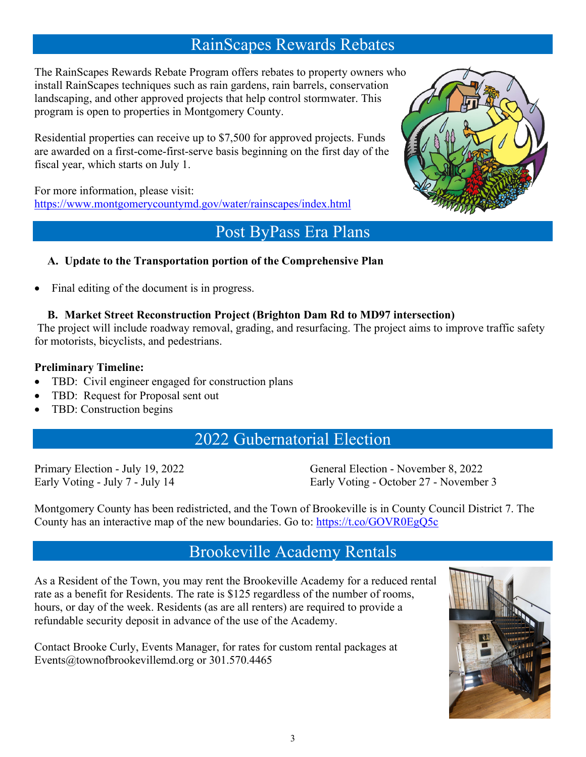# RainScapes Rewards Rebates

The RainScapes Rewards Rebate Program offers rebates to property owners who install RainScapes techniques such as rain gardens, rain barrels, conservation landscaping, and other approved projects that help control stormwater. This program is open to properties in Montgomery County.

Residential properties can receive up to \$7,500 for approved projects. Funds are awarded on a first-come-first-serve basis beginning on the first day of the fiscal year, which starts on July 1.

For more information, please visit: <https://www.montgomerycountymd.gov/water/rainscapes/index.html>

## Post ByPass Era Plans



#### **A. Update to the Transportation portion of the Comprehensive Plan**

Final editing of the document is in progress.

#### **B. Market Street Reconstruction Project (Brighton Dam Rd to MD97 intersection)**

 The project will include roadway removal, grading, and resurfacing. The project aims to improve traffic safety for motorists, bicyclists, and pedestrians.

#### **Preliminary Timeline:**

- TBD: Civil engineer engaged for construction plans
- TBD: Request for Proposal sent out
- TBD: Construction begins

# 2022 Gubernatorial Election

Primary Election - July 19, 2022 Early Voting - July 7 - July 14

General Election - November 8, 2022 Early Voting - October 27 - November 3

Montgomery County has been redistricted, and the Town of Brookeville is in County Council District 7. The County has an interactive map of the new boundaries. Go to:<https://t.co/GOVR0EgQ5c>

## Brookeville Academy Rentals

As a Resident of the Town, you may rent the Brookeville Academy for a reduced rental rate as a benefit for Residents. The rate is \$125 regardless of the number of rooms, hours, or day of the week. Residents (as are all renters) are required to provide a refundable security deposit in advance of the use of the Academy.

Contact Brooke Curly, Events Manager, for rates for custom rental packages at Events@townofbrookevillemd.org or 301.570.4465